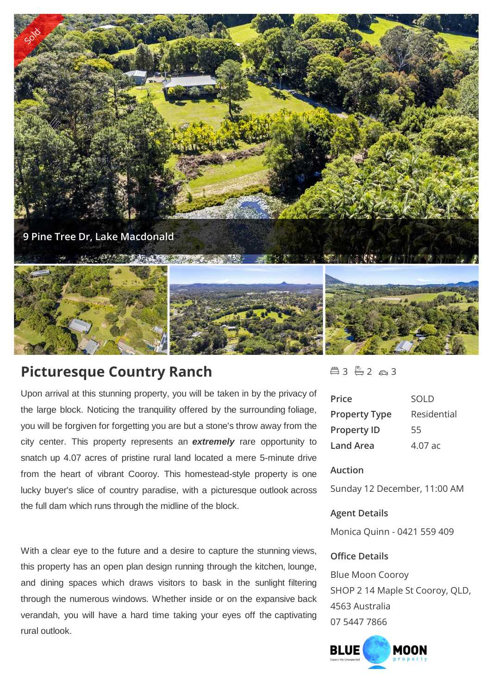

# **Picturesque Country Ranch**

Upon arrival at this stunning property, you will be taken in by the privacy of the large block. Noticing the tranquility offered by the surrounding foliage, you will be forgiven for forgetting you are but a stone's throw away from the city center. This property represents an *extremely* rare opportunity to snatch up 4.07 acres of pristine rural land located a mere 5-minute drive from the heart of vibrant Cooroy. This homestead-style property is one lucky buyer's slice of country paradise, with a picturesque outlook across the full dam which runs through the midline of the block.

With a clear eye to the future and a desire to capture the stunning views, this property has an open plan design running through the kitchen, lounge, and dining spaces which draws visitors to bask in the sunlight filtering through the numerous windows. Whether inside or on the expansive back verandah, you will have a hard time taking your eyes off the captivating rural outlook.

# $43 - 2 - 3$

| Price                | SOL D       |
|----------------------|-------------|
| <b>Property Type</b> | Residential |
| <b>Property ID</b>   | 55          |
| Land Area            | $4.07$ ac   |

# **Auction**

Sunday 12 December, 11:00 AM

### **Agent Details**

Monica Quinn - 0421 559 409

## **Office Details**

Blue Moon Cooroy SHOP 2 14 Maple St Cooroy, QLD, 4563 Australia 07 5447 7866

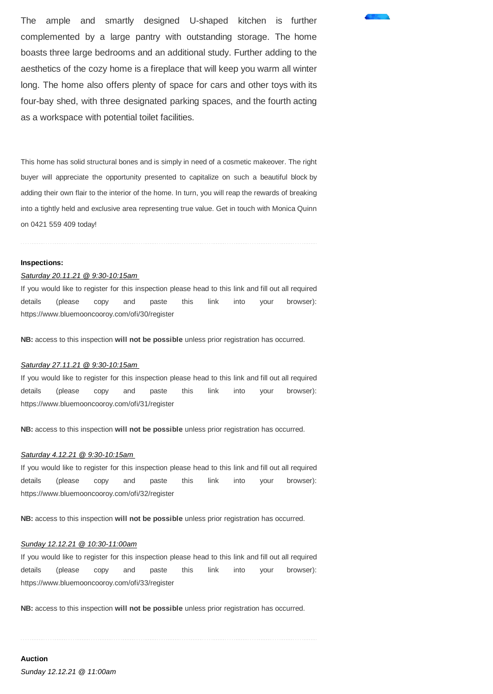The ample and smartly designed U-shaped kitchen is further complemented by a large pantry with outstanding storage. The home boasts three large bedrooms and an additional study. Further adding to the aesthetics of the cozy home is a fireplace that will keep you warm all winter long. The home also offers plenty of space for cars and other toys with its four-bay shed, with three designated parking spaces, and the fourth acting as a workspace with potential toilet facilities.

This home has solid structural bones and is simply in need of a cosmetic makeover. The right buyer will appreciate the opportunity presented to capitalize on such a beautiful block by adding their own flair to the interior of the home. In turn, you will reap the rewards of breaking into a tightly held and exclusive area representing true value. Get in touch with Monica Quinn on 0421 559 409 today!

#### **Inspections:**

#### *Saturday 20.11.21 @ 9:30-10:15am*

If you would like to register for this inspection please head to this link and fill out all required details (please copy and paste this link into your browser): https://www.bluemooncooroy.com/ofi/30/register

**NB:** access to this inspection **will not be possible** unless prior registration has occurred.

#### *Saturday 27.11.21 @ 9:30-10:15am*

If you would like to register for this inspection please head to this link and fill out all required details (please copy and paste this link into your browser): https://www.bluemooncooroy.com/ofi/31/register

**NB:** access to this inspection **will not be possible** unless prior registration has occurred.

#### *Saturday 4.12.21 @ 9:30-10:15am*

If you would like to register for this inspection please head to this link and fill out all required details (please copy and paste this link into your browser): https://www.bluemooncooroy.com/ofi/32/register

**NB:** access to this inspection **will not be possible** unless prior registration has occurred.

#### *Sunday 12.12.21 @ 10:30-11:00am*

If you would like to register for this inspection please head to this link and fill out all required details (please copy and paste this link into your browser): https://www.bluemooncooroy.com/ofi/33/register

**NB:** access to this inspection **will not be possible** unless prior registration has occurred.

**Auction**  *Sunday 12.12.21 @ 11:00am*